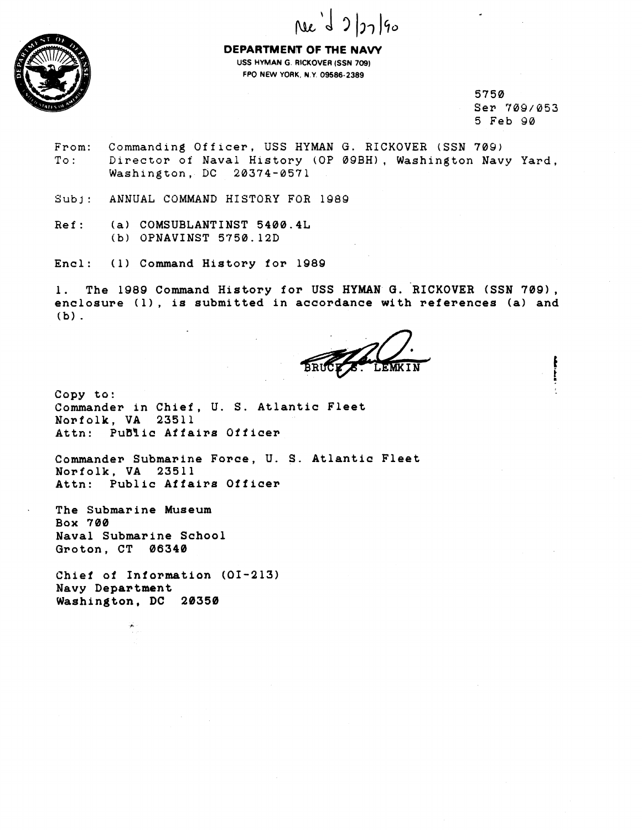



**DEPARTMENT OF THE NAVY USS HYMAN G. RICKOVER (SSN 709) FPO NEW YORK, N.Y. 09586-2389** 

> **5750 Ser '?09/053 5 Feb Y0**

**From: Commanding Offlcer, USS HYMAN G. RICKOVER (SSN 709)**  To: Director of Naval History (OP 09BH), Washington Navy Yard, **Washington, DC 20374-057 1** 

Subj: ANNUAL COMMAND HISTORY FOR 1989

**Ref** : **(a) COMSUBLANTINST 5400.4L (b) OPNAVINST 5750.12D** 

**Encl: (1) Command History for 1989** 

**1. The 1989 Command History for USS HYMAN O. RICKOVER (SSN 7091, enclosure (11, is submitted in accordance with references (a) and (b)** .

**Copy to: Commander in Chief, U. S. Atlantic Fleet Norfolk, VA 23511**  Attn: PuBlic Affairs Officer

**Commander Submarine Force, U. S. Atlantic Fleet Norfolk, VA 23511 Attn: Public Affairs Officer** 

**The Submarine Museum Box 700 Naval Submarine School Groton. CT 06340** 

**Chief of Information (01-213) Navy Department Washington, DC 20350**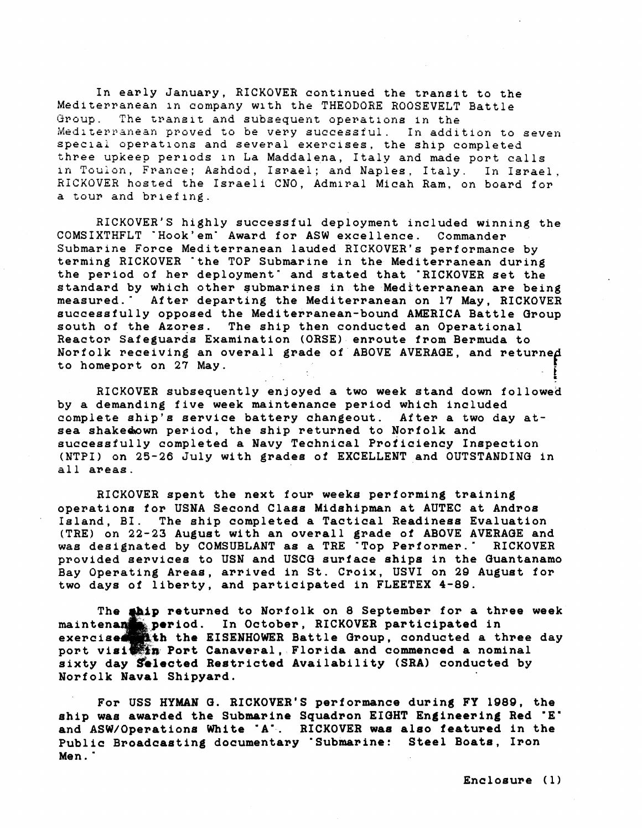**In early January, RICKOVER continued the trangit to the Mediterranean ln company with the THEODORE ROOSEVELT battle ~3roup. The transit and subsequent operatloris in the**  Mediterranean proved to be very successful. In addition to seven **specla; operations and several exercises, the ship completed three upkeep periods in La Maddalena, Italy and made port calls**  in Toulon, France; Ashdod, Israel; and Naples, Italy. In Israel. **RiCKOVEH hosted the Israeli CNO, Admiral Micah Ram. on board for a tour and briefing.** 

**RICKOVER'S highly successful deployment included winning the COMSIXTHFLT 'Hook'em' Award fop ASW excellence. Commander Submarine Force Mediterranean lauded RICKOVER'S performance by terming RICKOVER 'the TOP Submarine in the Mediterranean during the period of her deployment" and stated that 'RICKOVER set the standard by which other submarines in the Mediterranean are being measured." After departing the Mediterranean on 17 May, RICKOVER successfully opposed the Mediterranean-bound AMERICA Battle aroup south of the Azores. The ship then conducted an Operational Reactor safeguards Examination (ORSE) enroute from Bermuda to**  Norfolk receiving an overall grade of ABOVE AVERAGE, and returned<br>to homeport on 27 May.

**RICKOVER subsequently enjoyed a two week stand down followed by a demanding five week maintenance period which included complete shlp's service battery changeout. After a two day atsea shakedawn period, the ship returned to Norfolk and euccessfully completed a Navy Technical Proficiency Inspection (NTPI) on 25-26 July with grades of EXCELLENT and OUTSTANDING in all areas.** 

**RICKOVER spent the next four weeks performing training operatlone for USNA Second Claee Midshipman at AUTEC at Andros Island, BI. The ship completed a Tactical Readiness Evaluation (TRE) on 22-23 August with an overall grade of ABOVE AVERAGE and was designated by COMSUBLANT as a TRE "Top Performer.' RICKOVER**  provided services to USN and USCG surface ships in the Guantanamo **Bay Operating Areas, arrived in St. Croix, USVI on 29 Auguet for two days of liberty, and partioipated in FLEETEX 4-89.** 

The **abip returned to Norfolk on 8 September for a three week malntena period. In Octobe~, RICKOVER participated in exerciee th the EISENHOWER Battle Group, conducted a three day**  port visi<sup>ss</sup>in Port Canaveral, Florida and commenced a nominal **sixty day gelected Restricted Availability (SRA) conducted by Norfolk Naval Shipyard.** 

**For USS HYMAN G. RICKOVER'S performance during FY 1989, the**  ship was awarded the Submarine Squadron EIGHT Engineering Red 'E' **and ASW/Operations White 'A'-. RICKOVER waa also featured in the Public Broadcasting documentary 'Submarine: Steel Boate, Iron Men.** '